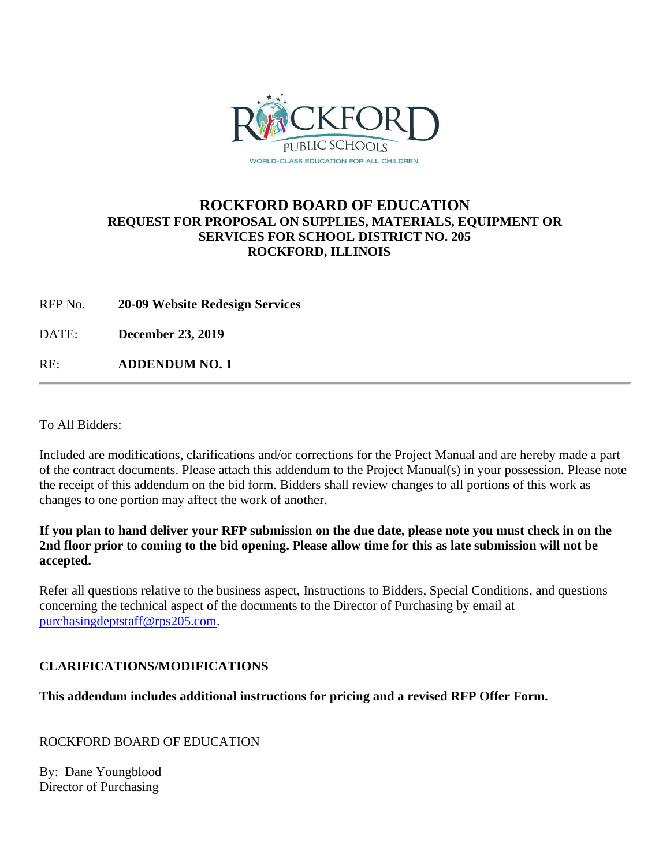

# **ROCKFORD BOARD OF EDUCATION REQUEST FOR PROPOSAL ON SUPPLIES, MATERIALS, EQUIPMENT OR SERVICES FOR SCHOOL DISTRICT NO. 205 ROCKFORD, ILLINOIS**

RFP No. **20-09 Website Redesign Services**

DATE: **December 23, 2019**

RE: **ADDENDUM NO. 1**

To All Bidders:

Included are modifications, clarifications and/or corrections for the Project Manual and are hereby made a part of the contract documents. Please attach this addendum to the Project Manual(s) in your possession. Please note the receipt of this addendum on the bid form. Bidders shall review changes to all portions of this work as changes to one portion may affect the work of another.

#### **If you plan to hand deliver your RFP submission on the due date, please note you must check in on the 2nd floor prior to coming to the bid opening. Please allow time for this as late submission will not be accepted.**

Refer all questions relative to the business aspect, Instructions to Bidders, Special Conditions, and questions concerning the technical aspect of the documents to the Director of Purchasing by email at [purchasingdeptstaff@rps205.com.](mailto:purchasingdeptstaff@rps205.com)

## **CLARIFICATIONS/MODIFICATIONS**

## **This addendum includes additional instructions for pricing and a revised RFP Offer Form.**

ROCKFORD BOARD OF EDUCATION

By: Dane Youngblood Director of Purchasing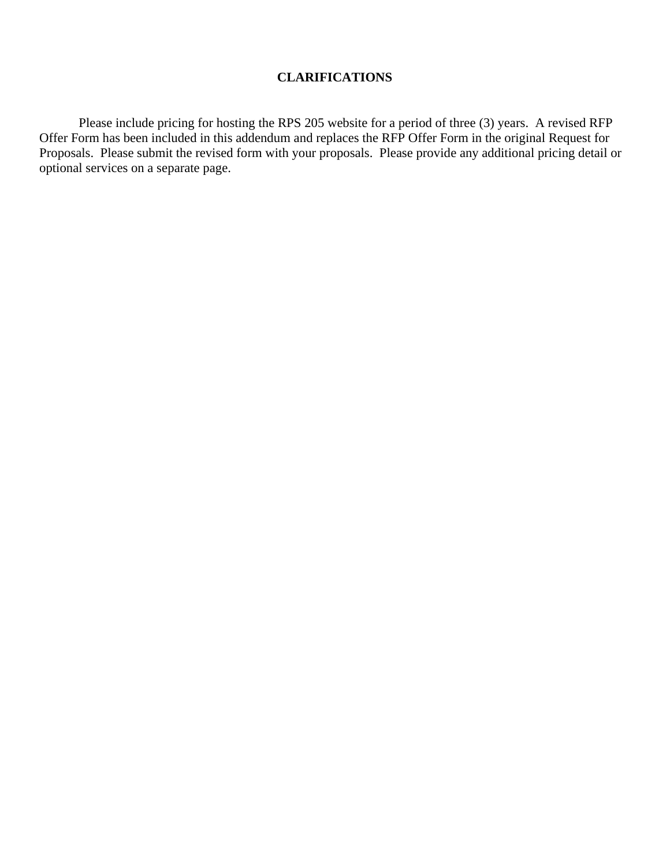#### **CLARIFICATIONS**

Please include pricing for hosting the RPS 205 website for a period of three (3) years. A revised RFP Offer Form has been included in this addendum and replaces the RFP Offer Form in the original Request for Proposals. Please submit the revised form with your proposals. Please provide any additional pricing detail or optional services on a separate page.